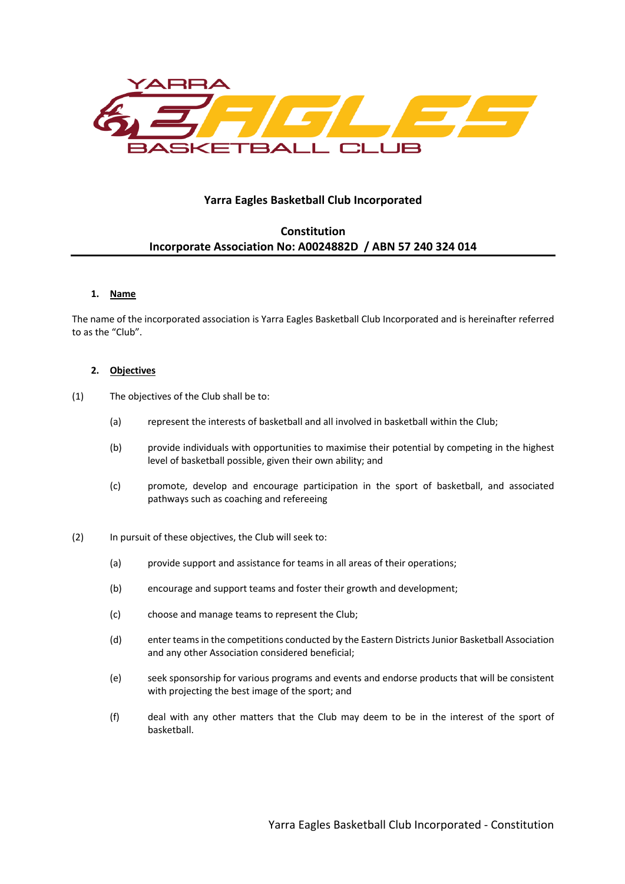

# **Yarra Eagles Basketball Club Incorporated**

# **Constitution Incorporate Association No: A0024882D / ABN 57 240 324 014**

### **1. Name**

The name of the incorporated association is Yarra Eagles Basketball Club Incorporated and is hereinafter referred to as the "Club".

## **2. Objectives**

- (1) The objectives of the Club shall be to:
	- (a) represent the interests of basketball and all involved in basketball within the Club;
	- (b) provide individuals with opportunities to maximise their potential by competing in the highest level of basketball possible, given their own ability; and
	- (c) promote, develop and encourage participation in the sport of basketball, and associated pathways such as coaching and refereeing
- (2) In pursuit of these objectives, the Club will seek to:
	- (a) provide support and assistance for teams in all areas of their operations;
	- (b) encourage and support teams and foster their growth and development;
	- (c) choose and manage teams to represent the Club;
	- (d) enter teams in the competitions conducted by the Eastern Districts Junior Basketball Association and any other Association considered beneficial;
	- (e) seek sponsorship for various programs and events and endorse products that will be consistent with projecting the best image of the sport; and
	- (f) deal with any other matters that the Club may deem to be in the interest of the sport of basketball.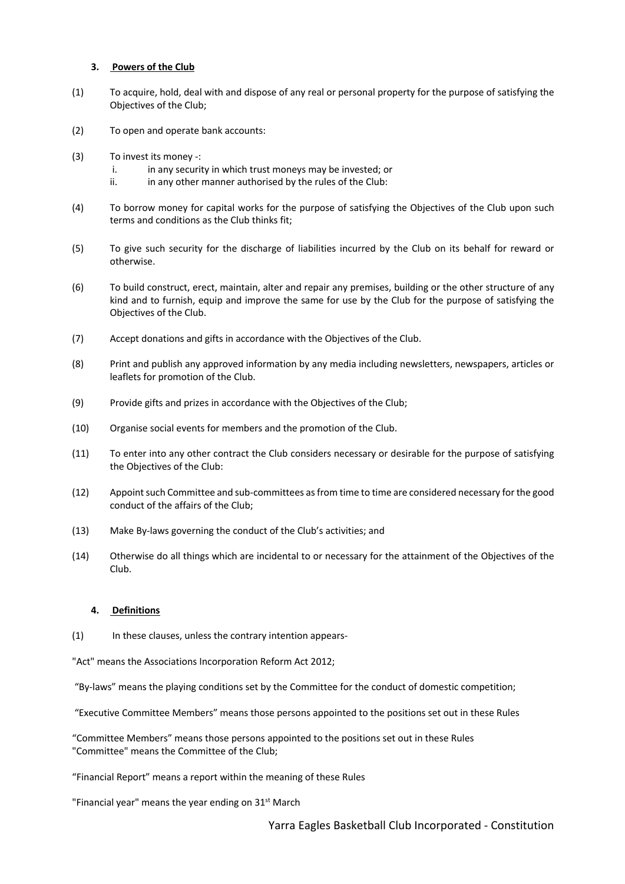### **3. Powers of the Club**

- (1) To acquire, hold, deal with and dispose of any real or personal property for the purpose of satisfying the Objectives of the Club;
- (2) To open and operate bank accounts:
- (3) To invest its money -:
	- i. in any security in which trust moneys may be invested; or
	- ii. in any other manner authorised by the rules of the Club:
- (4) To borrow money for capital works for the purpose of satisfying the Objectives of the Club upon such terms and conditions as the Club thinks fit;
- (5) To give such security for the discharge of liabilities incurred by the Club on its behalf for reward or otherwise.
- (6) To build construct, erect, maintain, alter and repair any premises, building or the other structure of any kind and to furnish, equip and improve the same for use by the Club for the purpose of satisfying the Objectives of the Club.
- (7) Accept donations and gifts in accordance with the Objectives of the Club.
- (8) Print and publish any approved information by any media including newsletters, newspapers, articles or leaflets for promotion of the Club.
- (9) Provide gifts and prizes in accordance with the Objectives of the Club;
- (10) Organise social events for members and the promotion of the Club.
- (11) To enter into any other contract the Club considers necessary or desirable for the purpose of satisfying the Objectives of the Club:
- (12) Appoint such Committee and sub-committees as from time to time are considered necessary for the good conduct of the affairs of the Club;
- (13) Make By-laws governing the conduct of the Club's activities; and
- (14) Otherwise do all things which are incidental to or necessary for the attainment of the Objectives of the Club.

### **4. Definitions**

(1) In these clauses, unless the contrary intention appears-

"Act" means the Associations Incorporation Reform Act 2012;

"By-laws" means the playing conditions set by the Committee for the conduct of domestic competition;

"Executive Committee Members" means those persons appointed to the positions set out in these Rules

"Committee Members" means those persons appointed to the positions set out in these Rules "Committee" means the Committee of the Club;

"Financial Report" means a report within the meaning of these Rules

"Financial year" means the year ending on 31<sup>st</sup> March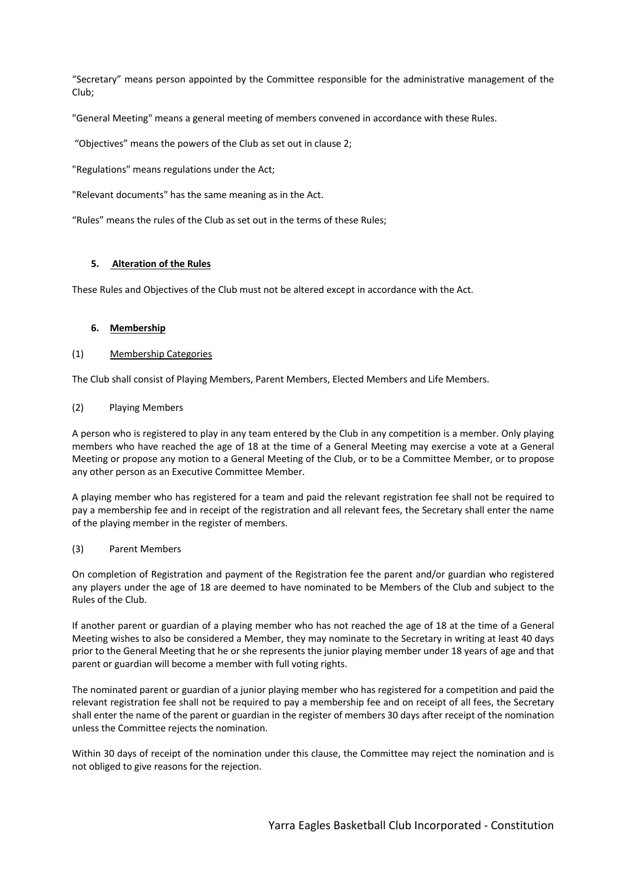"Secretary" means person appointed by the Committee responsible for the administrative management of the Club;

"General Meeting" means a general meeting of members convened in accordance with these Rules.

"Objectives" means the powers of the Club as set out in clause 2;

"Regulations" means regulations under the Act;

"Relevant documents" has the same meaning as in the Act.

"Rules" means the rules of the Club as set out in the terms of these Rules;

## **5. Alteration of the Rules**

These Rules and Objectives of the Club must not be altered except in accordance with the Act.

### **6. Membership**

### (1) Membership Categories

The Club shall consist of Playing Members, Parent Members, Elected Members and Life Members.

## (2) Playing Members

A person who is registered to play in any team entered by the Club in any competition is a member. Only playing members who have reached the age of 18 at the time of a General Meeting may exercise a vote at a General Meeting or propose any motion to a General Meeting of the Club, or to be a Committee Member, or to propose any other person as an Executive Committee Member.

A playing member who has registered for a team and paid the relevant registration fee shall not be required to pay a membership fee and in receipt of the registration and all relevant fees, the Secretary shall enter the name of the playing member in the register of members.

### (3) Parent Members

On completion of Registration and payment of the Registration fee the parent and/or guardian who registered any players under the age of 18 are deemed to have nominated to be Members of the Club and subject to the Rules of the Club.

If another parent or guardian of a playing member who has not reached the age of 18 at the time of a General Meeting wishes to also be considered a Member, they may nominate to the Secretary in writing at least 40 days prior to the General Meeting that he or she represents the junior playing member under 18 years of age and that parent or guardian will become a member with full voting rights.

The nominated parent or guardian of a junior playing member who has registered for a competition and paid the relevant registration fee shall not be required to pay a membership fee and on receipt of all fees, the Secretary shall enter the name of the parent or guardian in the register of members 30 days after receipt of the nomination unless the Committee rejects the nomination.

Within 30 days of receipt of the nomination under this clause, the Committee may reject the nomination and is not obliged to give reasons for the rejection.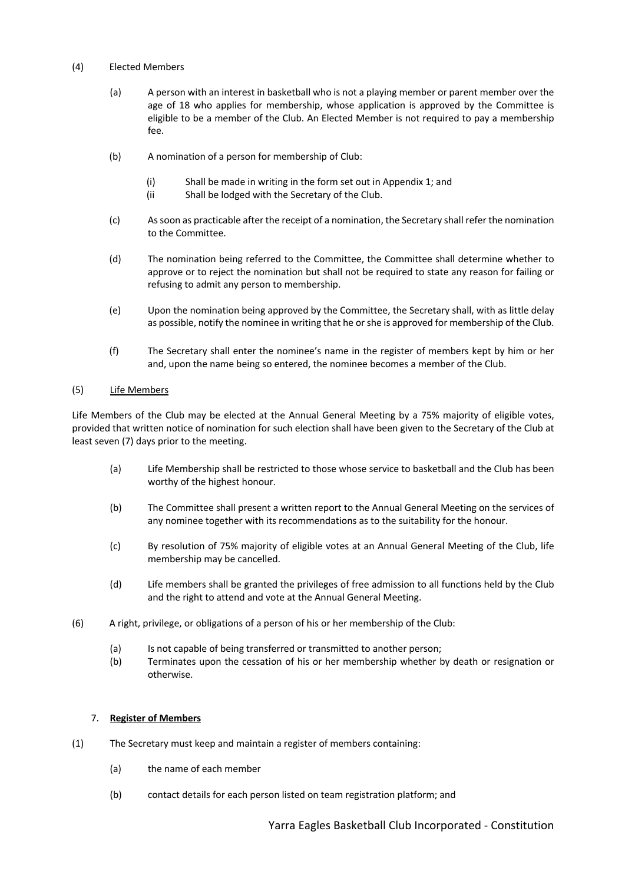- (4) Elected Members
	- (a) A person with an interest in basketball who is not a playing member or parent member over the age of 18 who applies for membership, whose application is approved by the Committee is eligible to be a member of the Club. An Elected Member is not required to pay a membership fee.
	- (b) A nomination of a person for membership of Club:
		- (i) Shall be made in writing in the form set out in Appendix 1; and
		- (ii Shall be lodged with the Secretary of the Club.
	- (c) As soon as practicable after the receipt of a nomination, the Secretary shall refer the nomination to the Committee.
	- (d) The nomination being referred to the Committee, the Committee shall determine whether to approve or to reject the nomination but shall not be required to state any reason for failing or refusing to admit any person to membership.
	- (e) Upon the nomination being approved by the Committee, the Secretary shall, with as little delay as possible, notify the nominee in writing that he or she is approved for membership of the Club.
	- (f) The Secretary shall enter the nominee's name in the register of members kept by him or her and, upon the name being so entered, the nominee becomes a member of the Club.

## (5) Life Members

Life Members of the Club may be elected at the Annual General Meeting by a 75% majority of eligible votes, provided that written notice of nomination for such election shall have been given to the Secretary of the Club at least seven (7) days prior to the meeting.

- (a) Life Membership shall be restricted to those whose service to basketball and the Club has been worthy of the highest honour.
- (b) The Committee shall present a written report to the Annual General Meeting on the services of any nominee together with its recommendations as to the suitability for the honour.
- (c) By resolution of 75% majority of eligible votes at an Annual General Meeting of the Club, life membership may be cancelled.
- (d) Life members shall be granted the privileges of free admission to all functions held by the Club and the right to attend and vote at the Annual General Meeting.
- (6) A right, privilege, or obligations of a person of his or her membership of the Club:
	- (a) Is not capable of being transferred or transmitted to another person;
	- (b) Terminates upon the cessation of his or her membership whether by death or resignation or otherwise.

### 7. **Register of Members**

- (1) The Secretary must keep and maintain a register of members containing:
	- (a) the name of each member
	- (b) contact details for each person listed on team registration platform; and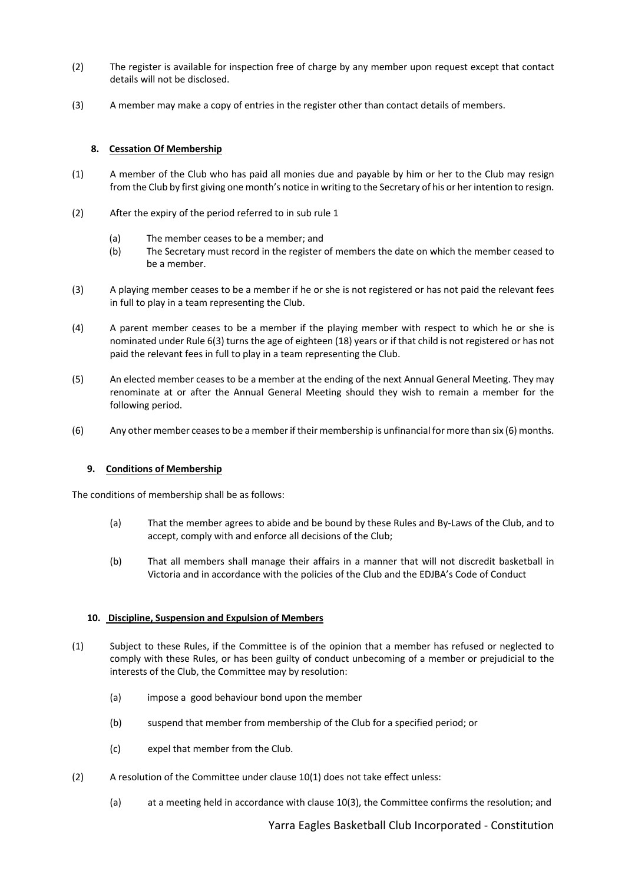- (2) The register is available for inspection free of charge by any member upon request except that contact details will not be disclosed.
- (3) A member may make a copy of entries in the register other than contact details of members.

## **8. Cessation Of Membership**

- (1) A member of the Club who has paid all monies due and payable by him or her to the Club may resign from the Club by first giving one month's notice in writing to the Secretary of his or her intention to resign.
- (2) After the expiry of the period referred to in sub rule 1
	- (a) The member ceases to be a member; and
	- (b) The Secretary must record in the register of members the date on which the member ceased to be a member.
- (3) A playing member ceases to be a member if he or she is not registered or has not paid the relevant fees in full to play in a team representing the Club.
- (4) A parent member ceases to be a member if the playing member with respect to which he or she is nominated under Rule 6(3) turns the age of eighteen (18) years or if that child is not registered or has not paid the relevant fees in full to play in a team representing the Club.
- (5) An elected member ceases to be a member at the ending of the next Annual General Meeting. They may renominate at or after the Annual General Meeting should they wish to remain a member for the following period.
- (6) Any other member ceases to be a member if their membership is unfinancial for more than six (6) months.

### **9. Conditions of Membership**

The conditions of membership shall be as follows:

- (a) That the member agrees to abide and be bound by these Rules and By-Laws of the Club, and to accept, comply with and enforce all decisions of the Club;
- (b) That all members shall manage their affairs in a manner that will not discredit basketball in Victoria and in accordance with the policies of the Club and the EDJBA's Code of Conduct

### **10. Discipline, Suspension and Expulsion of Members**

- (1) Subject to these Rules, if the Committee is of the opinion that a member has refused or neglected to comply with these Rules, or has been guilty of conduct unbecoming of a member or prejudicial to the interests of the Club, the Committee may by resolution:
	- (a) impose a good behaviour bond upon the member
	- (b) suspend that member from membership of the Club for a specified period; or
	- (c) expel that member from the Club.
- (2) A resolution of the Committee under clause 10(1) does not take effect unless:
	- (a) at a meeting held in accordance with clause 10(3), the Committee confirms the resolution; and

Yarra Eagles Basketball Club Incorporated - Constitution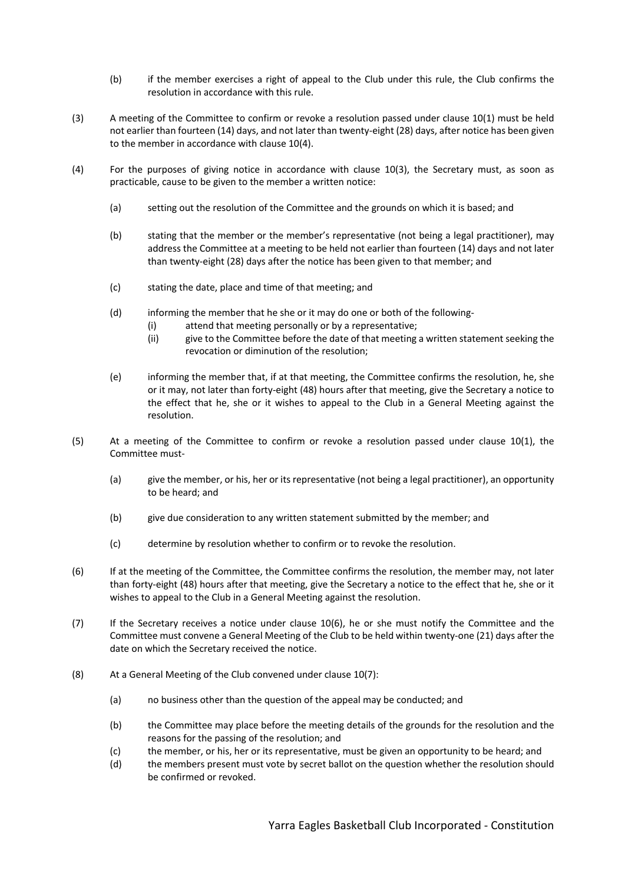- (b) if the member exercises a right of appeal to the Club under this rule, the Club confirms the resolution in accordance with this rule.
- (3) A meeting of the Committee to confirm or revoke a resolution passed under clause 10(1) must be held not earlier than fourteen (14) days, and not later than twenty-eight (28) days, after notice has been given to the member in accordance with clause 10(4).
- (4) For the purposes of giving notice in accordance with clause 10(3), the Secretary must, as soon as practicable, cause to be given to the member a written notice:
	- (a) setting out the resolution of the Committee and the grounds on which it is based; and
	- (b) stating that the member or the member's representative (not being a legal practitioner), may address the Committee at a meeting to be held not earlier than fourteen (14) days and not later than twenty-eight (28) days after the notice has been given to that member; and
	- (c) stating the date, place and time of that meeting; and
	- (d) informing the member that he she or it may do one or both of the following-
		- (i) attend that meeting personally or by a representative;
		- (ii) give to the Committee before the date of that meeting a written statement seeking the revocation or diminution of the resolution;
	- (e) informing the member that, if at that meeting, the Committee confirms the resolution, he, she or it may, not later than forty-eight (48) hours after that meeting, give the Secretary a notice to the effect that he, she or it wishes to appeal to the Club in a General Meeting against the resolution.
- (5) At a meeting of the Committee to confirm or revoke a resolution passed under clause 10(1), the Committee must-
	- (a) give the member, or his, her or its representative (not being a legal practitioner), an opportunity to be heard; and
	- (b) give due consideration to any written statement submitted by the member; and
	- (c) determine by resolution whether to confirm or to revoke the resolution.
- (6) If at the meeting of the Committee, the Committee confirms the resolution, the member may, not later than forty-eight (48) hours after that meeting, give the Secretary a notice to the effect that he, she or it wishes to appeal to the Club in a General Meeting against the resolution.
- (7) If the Secretary receives a notice under clause 10(6), he or she must notify the Committee and the Committee must convene a General Meeting of the Club to be held within twenty-one (21) days after the date on which the Secretary received the notice.
- (8) At a General Meeting of the Club convened under clause 10(7):
	- (a) no business other than the question of the appeal may be conducted; and
	- (b) the Committee may place before the meeting details of the grounds for the resolution and the reasons for the passing of the resolution; and
	- (c) the member, or his, her or its representative, must be given an opportunity to be heard; and
	- (d) the members present must vote by secret ballot on the question whether the resolution should be confirmed or revoked.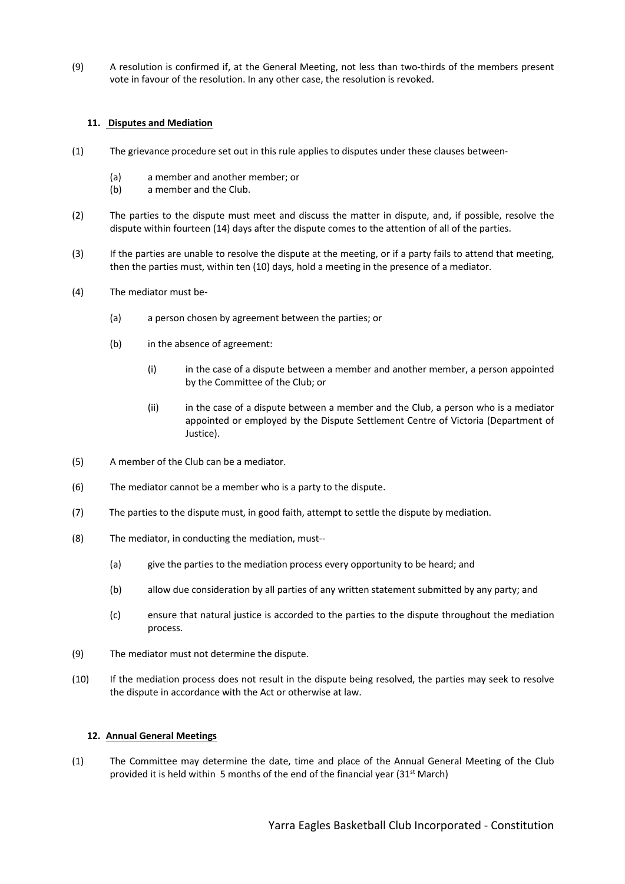(9) A resolution is confirmed if, at the General Meeting, not less than two-thirds of the members present vote in favour of the resolution. In any other case, the resolution is revoked.

## **11. Disputes and Mediation**

- (1) The grievance procedure set out in this rule applies to disputes under these clauses between-
	- (a) a member and another member; or
	- (b) a member and the Club.
- (2) The parties to the dispute must meet and discuss the matter in dispute, and, if possible, resolve the dispute within fourteen (14) days after the dispute comes to the attention of all of the parties.
- (3) If the parties are unable to resolve the dispute at the meeting, or if a party fails to attend that meeting, then the parties must, within ten (10) days, hold a meeting in the presence of a mediator.
- (4) The mediator must be-
	- (a) a person chosen by agreement between the parties; or
	- (b) in the absence of agreement:
		- (i) in the case of a dispute between a member and another member, a person appointed by the Committee of the Club; or
		- (ii) in the case of a dispute between a member and the Club, a person who is a mediator appointed or employed by the Dispute Settlement Centre of Victoria (Department of Justice).
- (5) A member of the Club can be a mediator.
- (6) The mediator cannot be a member who is a party to the dispute.
- (7) The parties to the dispute must, in good faith, attempt to settle the dispute by mediation.
- (8) The mediator, in conducting the mediation, must--
	- (a) give the parties to the mediation process every opportunity to be heard; and
	- (b) allow due consideration by all parties of any written statement submitted by any party; and
	- (c) ensure that natural justice is accorded to the parties to the dispute throughout the mediation process.
- (9) The mediator must not determine the dispute.
- (10) If the mediation process does not result in the dispute being resolved, the parties may seek to resolve the dispute in accordance with the Act or otherwise at law.

### **12. Annual General Meetings**

(1) The Committee may determine the date, time and place of the Annual General Meeting of the Club provided it is held within 5 months of the end of the financial year  $(31^{st}$  March)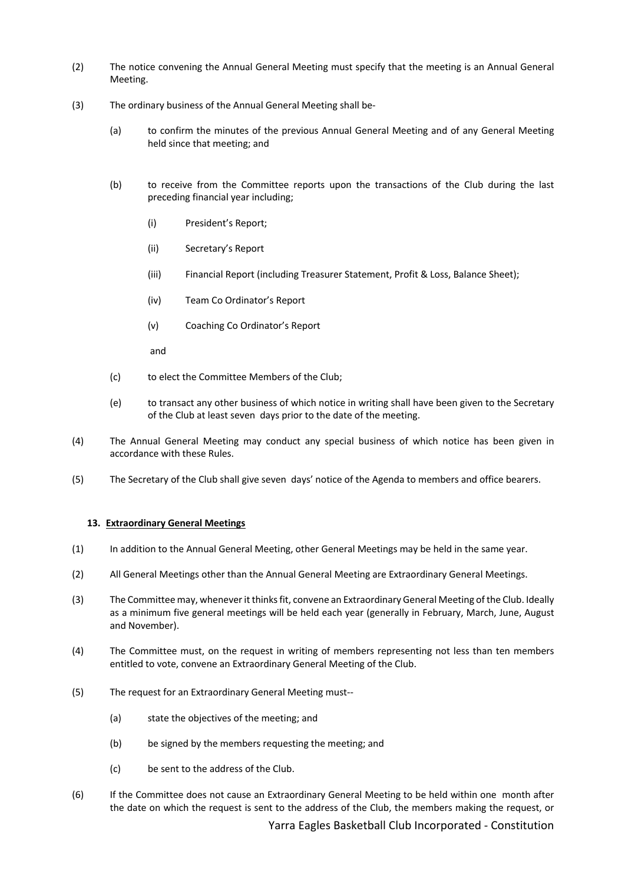- (2) The notice convening the Annual General Meeting must specify that the meeting is an Annual General Meeting.
- (3) The ordinary business of the Annual General Meeting shall be-
	- (a) to confirm the minutes of the previous Annual General Meeting and of any General Meeting held since that meeting; and
	- (b) to receive from the Committee reports upon the transactions of the Club during the last preceding financial year including;
		- (i) President's Report;
		- (ii) Secretary's Report
		- (iii) Financial Report (including Treasurer Statement, Profit & Loss, Balance Sheet);
		- (iv) Team Co Ordinator's Report
		- (v) Coaching Co Ordinator's Report

and

- (c) to elect the Committee Members of the Club;
- (e) to transact any other business of which notice in writing shall have been given to the Secretary of the Club at least seven days prior to the date of the meeting.
- (4) The Annual General Meeting may conduct any special business of which notice has been given in accordance with these Rules.
- (5) The Secretary of the Club shall give seven days' notice of the Agenda to members and office bearers.

### **13. Extraordinary General Meetings**

- (1) In addition to the Annual General Meeting, other General Meetings may be held in the same year.
- (2) All General Meetings other than the Annual General Meeting are Extraordinary General Meetings.
- (3) The Committee may, whenever it thinks fit, convene an Extraordinary General Meeting of the Club. Ideally as a minimum five general meetings will be held each year (generally in February, March, June, August and November).
- (4) The Committee must, on the request in writing of members representing not less than ten members entitled to vote, convene an Extraordinary General Meeting of the Club.
- (5) The request for an Extraordinary General Meeting must--
	- (a) state the objectives of the meeting; and
	- (b) be signed by the members requesting the meeting; and
	- (c) be sent to the address of the Club.
- (6) If the Committee does not cause an Extraordinary General Meeting to be held within one month after the date on which the request is sent to the address of the Club, the members making the request, or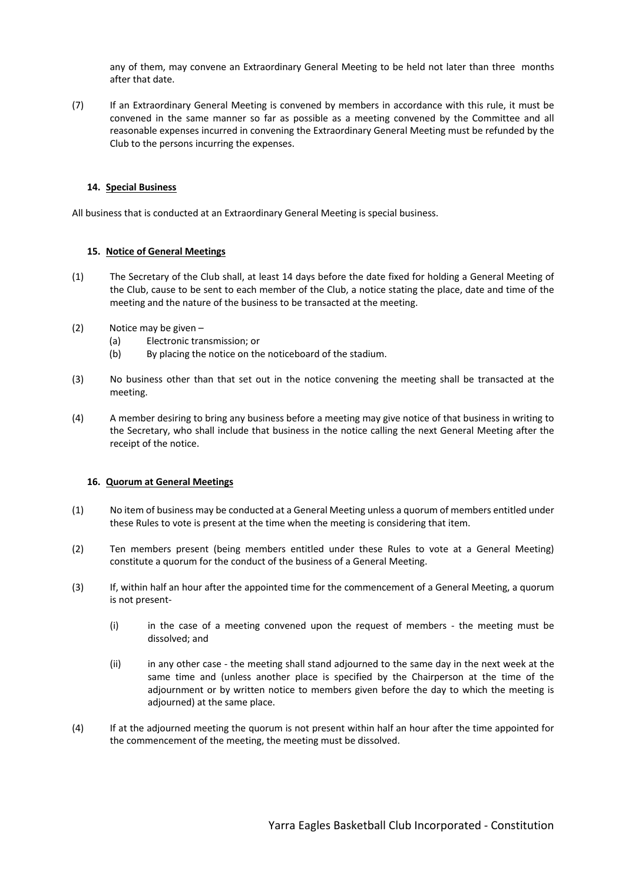any of them, may convene an Extraordinary General Meeting to be held not later than three months after that date.

(7) If an Extraordinary General Meeting is convened by members in accordance with this rule, it must be convened in the same manner so far as possible as a meeting convened by the Committee and all reasonable expenses incurred in convening the Extraordinary General Meeting must be refunded by the Club to the persons incurring the expenses.

## **14. Special Business**

All business that is conducted at an Extraordinary General Meeting is special business.

### **15. Notice of General Meetings**

- (1) The Secretary of the Club shall, at least 14 days before the date fixed for holding a General Meeting of the Club, cause to be sent to each member of the Club, a notice stating the place, date and time of the meeting and the nature of the business to be transacted at the meeting.
- (2) Notice may be given
	- (a) Electronic transmission; or
	- (b) By placing the notice on the noticeboard of the stadium.
- (3) No business other than that set out in the notice convening the meeting shall be transacted at the meeting.
- (4) A member desiring to bring any business before a meeting may give notice of that business in writing to the Secretary, who shall include that business in the notice calling the next General Meeting after the receipt of the notice.

### **16. Quorum at General Meetings**

- (1) No item of business may be conducted at a General Meeting unless a quorum of members entitled under these Rules to vote is present at the time when the meeting is considering that item.
- (2) Ten members present (being members entitled under these Rules to vote at a General Meeting) constitute a quorum for the conduct of the business of a General Meeting.
- (3) If, within half an hour after the appointed time for the commencement of a General Meeting, a quorum is not present-
	- (i) in the case of a meeting convened upon the request of members the meeting must be dissolved; and
	- (ii) in any other case the meeting shall stand adjourned to the same day in the next week at the same time and (unless another place is specified by the Chairperson at the time of the adjournment or by written notice to members given before the day to which the meeting is adjourned) at the same place.
- (4) If at the adjourned meeting the quorum is not present within half an hour after the time appointed for the commencement of the meeting, the meeting must be dissolved.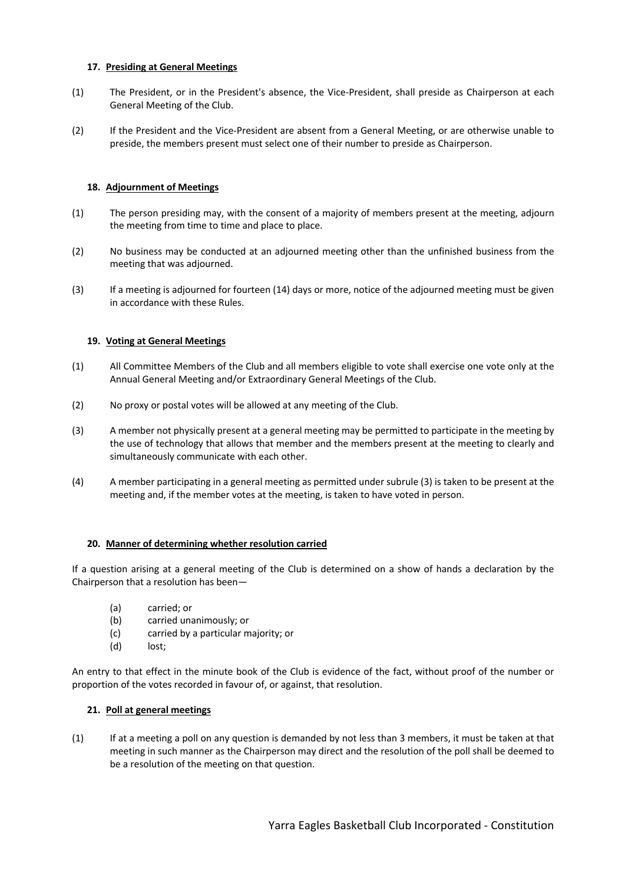## **17. Presiding at General Meetings**

- (1) The President, or in the President's absence, the Vice-President, shall preside as Chairperson at each General Meeting of the Club.
- (2) If the President and the Vice-President are absent from a General Meeting, or are otherwise unable to preside, the members present must select one of their number to preside as Chairperson.

## **18. Adjournment of Meetings**

- (1) The person presiding may, with the consent of a majority of members present at the meeting, adjourn the meeting from time to time and place to place.
- (2) No business may be conducted at an adjourned meeting other than the unfinished business from the meeting that was adjourned.
- (3) If a meeting is adjourned for fourteen (14) days or more, notice of the adjourned meeting must be given in accordance with these Rules.

### **19. Voting at General Meetings**

- (1) All Committee Members of the Club and all members eligible to vote shall exercise one vote only at the Annual General Meeting and/or Extraordinary General Meetings of the Club.
- (2) No proxy or postal votes will be allowed at any meeting of the Club.
- (3) A member not physically present at a general meeting may be permitted to participate in the meeting by the use of technology that allows that member and the members present at the meeting to clearly and simultaneously communicate with each other.
- (4) A member participating in a general meeting as permitted under subrule (3) is taken to be present at the meeting and, if the member votes at the meeting, is taken to have voted in person.

### **20. Manner of determining whether resolution carried**

If a question arising at a general meeting of the Club is determined on a show of hands a declaration by the Chairperson that a resolution has been—

- (a) carried; or
- (b) carried unanimously; or
- (c) carried by a particular majority; or
- (d) lost;

An entry to that effect in the minute book of the Club is evidence of the fact, without proof of the number or proportion of the votes recorded in favour of, or against, that resolution.

### **21. Poll at general meetings**

(1) If at a meeting a poll on any question is demanded by not less than 3 members, it must be taken at that meeting in such manner as the Chairperson may direct and the resolution of the poll shall be deemed to be a resolution of the meeting on that question.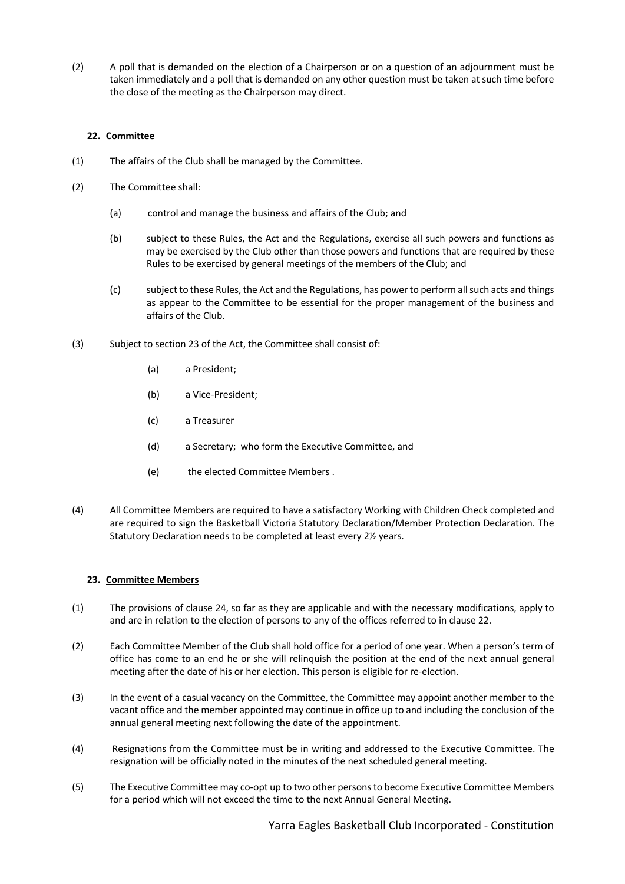(2) A poll that is demanded on the election of a Chairperson or on a question of an adjournment must be taken immediately and a poll that is demanded on any other question must be taken at such time before the close of the meeting as the Chairperson may direct.

# **22. Committee**

- (1) The affairs of the Club shall be managed by the Committee.
- (2) The Committee shall:
	- (a) control and manage the business and affairs of the Club; and
	- (b) subject to these Rules, the Act and the Regulations, exercise all such powers and functions as may be exercised by the Club other than those powers and functions that are required by these Rules to be exercised by general meetings of the members of the Club; and
	- (c) subject to these Rules, the Act and the Regulations, has power to perform all such acts and things as appear to the Committee to be essential for the proper management of the business and affairs of the Club.
- (3) Subject to section 23 of the Act, the Committee shall consist of:
	- (a) a President;
	- (b) a Vice-President;
	- (c) a Treasurer
	- (d) a Secretary; who form the Executive Committee, and
	- (e) the elected Committee Members .
- (4) All Committee Members are required to have a satisfactory Working with Children Check completed and are required to sign the Basketball Victoria Statutory Declaration/Member Protection Declaration. The Statutory Declaration needs to be completed at least every 2½ years.

# **23. Committee Members**

- (1) The provisions of clause 24, so far as they are applicable and with the necessary modifications, apply to and are in relation to the election of persons to any of the offices referred to in clause 22.
- (2) Each Committee Member of the Club shall hold office for a period of one year. When a person's term of office has come to an end he or she will relinquish the position at the end of the next annual general meeting after the date of his or her election. This person is eligible for re-election.
- (3) In the event of a casual vacancy on the Committee, the Committee may appoint another member to the vacant office and the member appointed may continue in office up to and including the conclusion of the annual general meeting next following the date of the appointment.
- (4) Resignations from the Committee must be in writing and addressed to the Executive Committee. The resignation will be officially noted in the minutes of the next scheduled general meeting.
- (5) The Executive Committee may co-opt up to two other persons to become Executive Committee Members for a period which will not exceed the time to the next Annual General Meeting.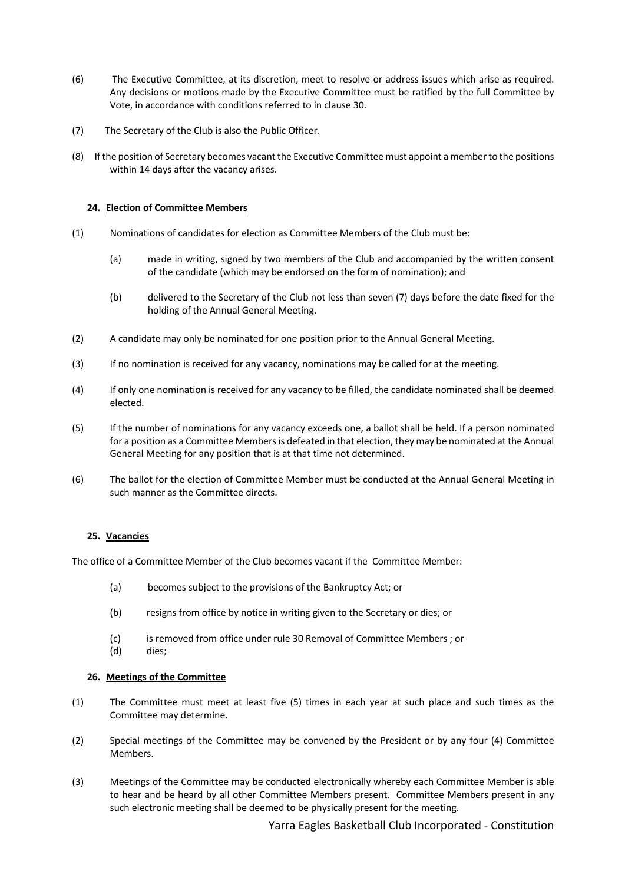- (6) The Executive Committee, at its discretion, meet to resolve or address issues which arise as required. Any decisions or motions made by the Executive Committee must be ratified by the full Committee by Vote, in accordance with conditions referred to in clause 30.
- (7) The Secretary of the Club is also the Public Officer.
- (8) If the position of Secretary becomes vacant the Executive Committee must appoint a member to the positions within 14 days after the vacancy arises.

## **24. Election of Committee Members**

- (1) Nominations of candidates for election as Committee Members of the Club must be:
	- (a) made in writing, signed by two members of the Club and accompanied by the written consent of the candidate (which may be endorsed on the form of nomination); and
	- (b) delivered to the Secretary of the Club not less than seven (7) days before the date fixed for the holding of the Annual General Meeting.
- (2) A candidate may only be nominated for one position prior to the Annual General Meeting.
- (3) If no nomination is received for any vacancy, nominations may be called for at the meeting.
- (4) If only one nomination is received for any vacancy to be filled, the candidate nominated shall be deemed elected.
- (5) If the number of nominations for any vacancy exceeds one, a ballot shall be held. If a person nominated for a position as a Committee Members is defeated in that election, they may be nominated at the Annual General Meeting for any position that is at that time not determined.
- (6) The ballot for the election of Committee Member must be conducted at the Annual General Meeting in such manner as the Committee directs.

### **25. Vacancies**

The office of a Committee Member of the Club becomes vacant if the Committee Member:

- (a) becomes subject to the provisions of the Bankruptcy Act; or
- (b) resigns from office by notice in writing given to the Secretary or dies; or
- (c) is removed from office under rule 30 Removal of Committee Members ; or
- (d) dies;

### **26. Meetings of the Committee**

- (1) The Committee must meet at least five (5) times in each year at such place and such times as the Committee may determine.
- (2) Special meetings of the Committee may be convened by the President or by any four (4) Committee Members.
- (3) Meetings of the Committee may be conducted electronically whereby each Committee Member is able to hear and be heard by all other Committee Members present. Committee Members present in any such electronic meeting shall be deemed to be physically present for the meeting.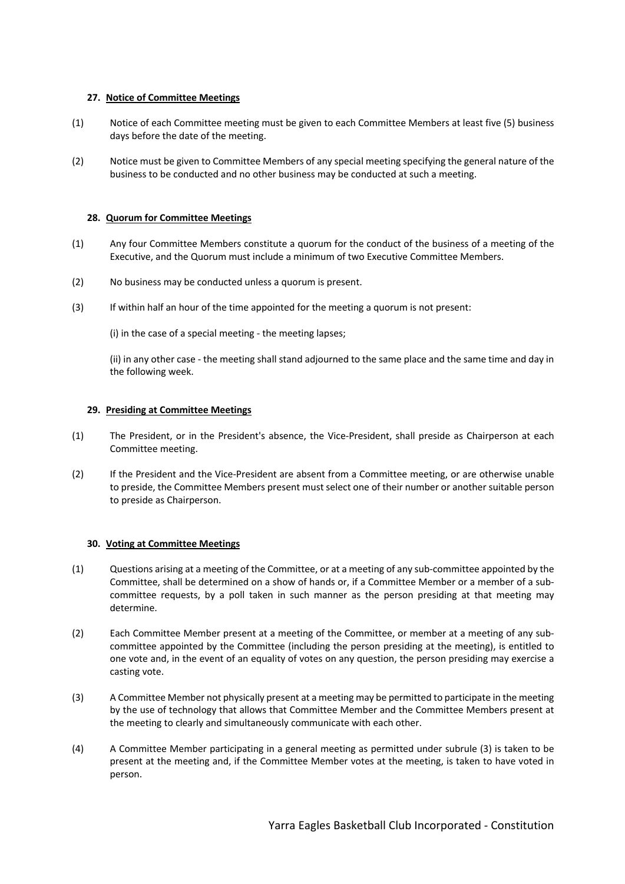## **27. Notice of Committee Meetings**

- (1) Notice of each Committee meeting must be given to each Committee Members at least five (5) business days before the date of the meeting.
- (2) Notice must be given to Committee Members of any special meeting specifying the general nature of the business to be conducted and no other business may be conducted at such a meeting.

### **28. Quorum for Committee Meetings**

- (1) Any four Committee Members constitute a quorum for the conduct of the business of a meeting of the Executive, and the Quorum must include a minimum of two Executive Committee Members.
- (2) No business may be conducted unless a quorum is present.
- (3) If within half an hour of the time appointed for the meeting a quorum is not present:

(i) in the case of a special meeting - the meeting lapses;

(ii) in any other case - the meeting shall stand adjourned to the same place and the same time and day in the following week.

#### **29. Presiding at Committee Meetings**

- (1) The President, or in the President's absence, the Vice-President, shall preside as Chairperson at each Committee meeting.
- (2) If the President and the Vice-President are absent from a Committee meeting, or are otherwise unable to preside, the Committee Members present must select one of their number or another suitable person to preside as Chairperson.

#### **30. Voting at Committee Meetings**

- (1) Questions arising at a meeting of the Committee, or at a meeting of any sub-committee appointed by the Committee, shall be determined on a show of hands or, if a Committee Member or a member of a subcommittee requests, by a poll taken in such manner as the person presiding at that meeting may determine.
- (2) Each Committee Member present at a meeting of the Committee, or member at a meeting of any subcommittee appointed by the Committee (including the person presiding at the meeting), is entitled to one vote and, in the event of an equality of votes on any question, the person presiding may exercise a casting vote.
- (3) A Committee Member not physically present at a meeting may be permitted to participate in the meeting by the use of technology that allows that Committee Member and the Committee Members present at the meeting to clearly and simultaneously communicate with each other.
- (4) A Committee Member participating in a general meeting as permitted under subrule (3) is taken to be present at the meeting and, if the Committee Member votes at the meeting, is taken to have voted in person.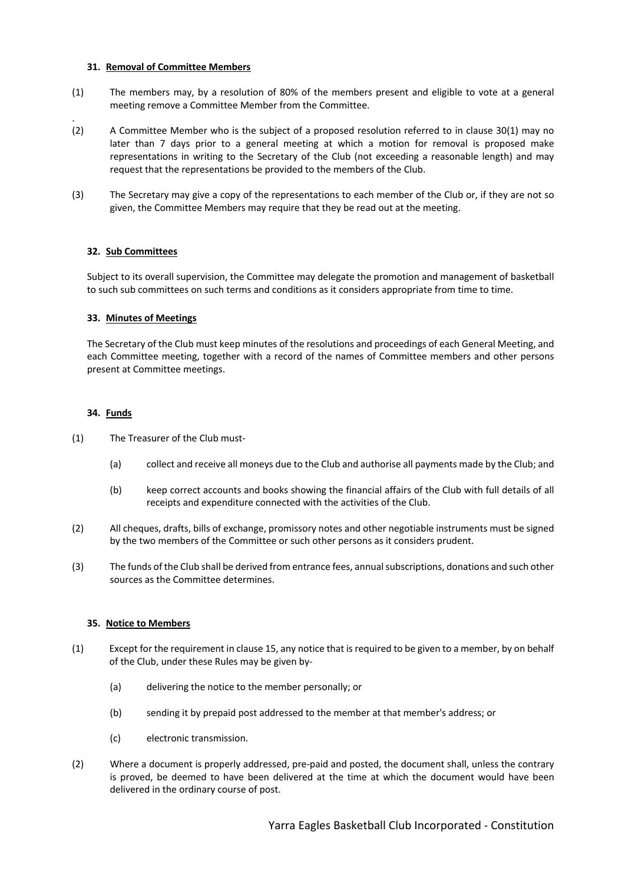## **31. Removal of Committee Members**

- (1) The members may, by a resolution of 80% of the members present and eligible to vote at a general meeting remove a Committee Member from the Committee.
- . (2) A Committee Member who is the subject of a proposed resolution referred to in clause 30(1) may no later than 7 days prior to a general meeting at which a motion for removal is proposed make representations in writing to the Secretary of the Club (not exceeding a reasonable length) and may request that the representations be provided to the members of the Club.
- (3) The Secretary may give a copy of the representations to each member of the Club or, if they are not so given, the Committee Members may require that they be read out at the meeting.

## **32. Sub Committees**

Subject to its overall supervision, the Committee may delegate the promotion and management of basketball to such sub committees on such terms and conditions as it considers appropriate from time to time.

### **33. Minutes of Meetings**

The Secretary of the Club must keep minutes of the resolutions and proceedings of each General Meeting, and each Committee meeting, together with a record of the names of Committee members and other persons present at Committee meetings.

## **34. Funds**

- (1) The Treasurer of the Club must-
	- (a) collect and receive all moneys due to the Club and authorise all payments made by the Club; and
	- (b) keep correct accounts and books showing the financial affairs of the Club with full details of all receipts and expenditure connected with the activities of the Club.
- (2) All cheques, drafts, bills of exchange, promissory notes and other negotiable instruments must be signed by the two members of the Committee or such other persons as it considers prudent.
- (3) The funds of the Club shall be derived from entrance fees, annual subscriptions, donations and such other sources as the Committee determines.

# **35. Notice to Members**

- (1) Except for the requirement in clause 15, any notice that is required to be given to a member, by on behalf of the Club, under these Rules may be given by-
	- (a) delivering the notice to the member personally; or
	- (b) sending it by prepaid post addressed to the member at that member's address; or
	- (c) electronic transmission.
- (2) Where a document is properly addressed, pre-paid and posted, the document shall, unless the contrary is proved, be deemed to have been delivered at the time at which the document would have been delivered in the ordinary course of post.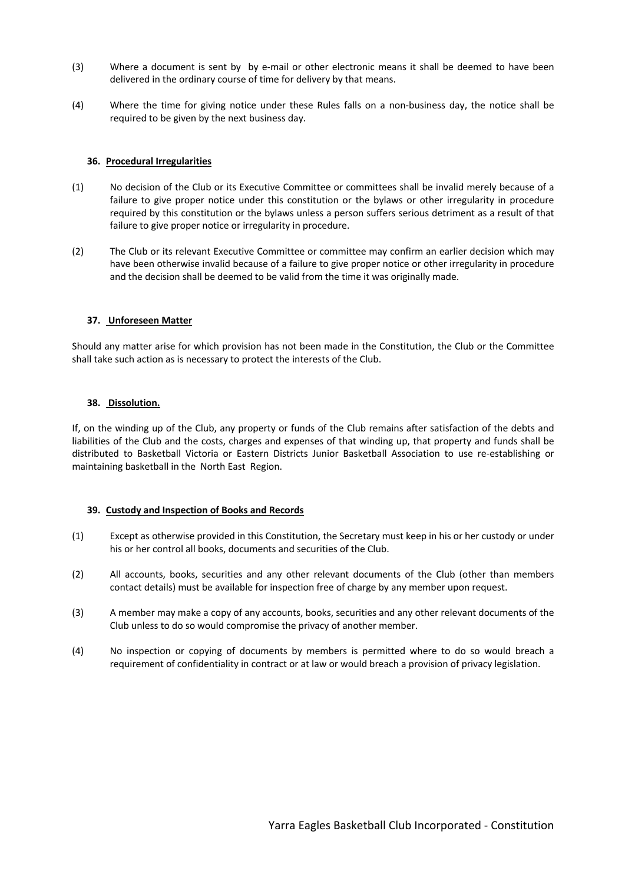- (3) Where a document is sent by by e-mail or other electronic means it shall be deemed to have been delivered in the ordinary course of time for delivery by that means.
- (4) Where the time for giving notice under these Rules falls on a non-business day, the notice shall be required to be given by the next business day.

#### **36. Procedural Irregularities**

- (1) No decision of the Club or its Executive Committee or committees shall be invalid merely because of a failure to give proper notice under this constitution or the bylaws or other irregularity in procedure required by this constitution or the bylaws unless a person suffers serious detriment as a result of that failure to give proper notice or irregularity in procedure.
- (2) The Club or its relevant Executive Committee or committee may confirm an earlier decision which may have been otherwise invalid because of a failure to give proper notice or other irregularity in procedure and the decision shall be deemed to be valid from the time it was originally made.

#### **37. Unforeseen Matter**

Should any matter arise for which provision has not been made in the Constitution, the Club or the Committee shall take such action as is necessary to protect the interests of the Club.

#### **38. Dissolution.**

If, on the winding up of the Club, any property or funds of the Club remains after satisfaction of the debts and liabilities of the Club and the costs, charges and expenses of that winding up, that property and funds shall be distributed to Basketball Victoria or Eastern Districts Junior Basketball Association to use re-establishing or maintaining basketball in the North East Region.

### **39. Custody and Inspection of Books and Records**

- (1) Except as otherwise provided in this Constitution, the Secretary must keep in his or her custody or under his or her control all books, documents and securities of the Club.
- (2) All accounts, books, securities and any other relevant documents of the Club (other than members contact details) must be available for inspection free of charge by any member upon request.
- (3) A member may make a copy of any accounts, books, securities and any other relevant documents of the Club unless to do so would compromise the privacy of another member.
- (4) No inspection or copying of documents by members is permitted where to do so would breach a requirement of confidentiality in contract or at law or would breach a provision of privacy legislation.